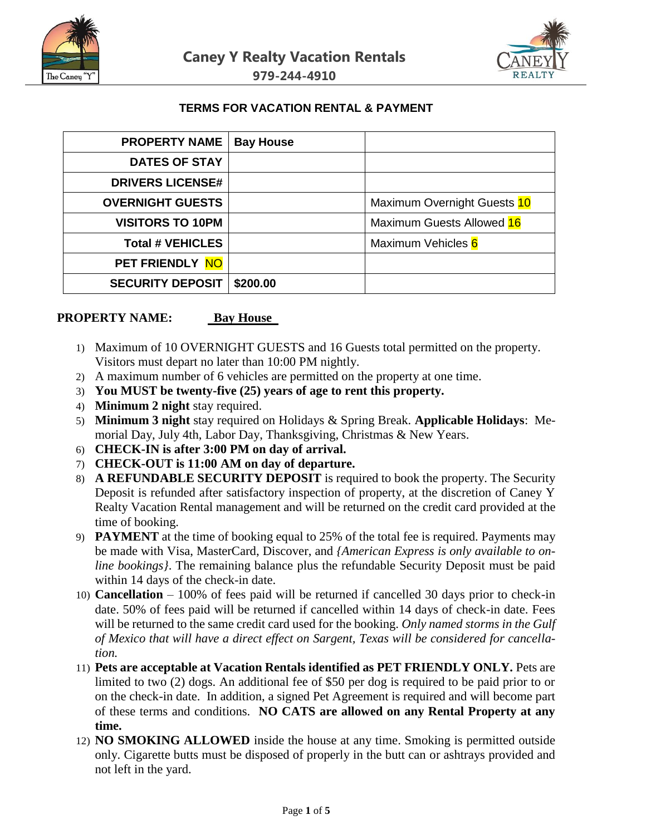



### **TERMS FOR VACATION RENTAL & PAYMENT**

| <b>PROPERTY NAME</b>    | <b>Bay House</b> |                             |
|-------------------------|------------------|-----------------------------|
| <b>DATES OF STAY</b>    |                  |                             |
| <b>DRIVERS LICENSE#</b> |                  |                             |
| <b>OVERNIGHT GUESTS</b> |                  | Maximum Overnight Guests 10 |
| <b>VISITORS TO 10PM</b> |                  | Maximum Guests Allowed 16   |
| <b>Total # VEHICLES</b> |                  | Maximum Vehicles 6          |
| PET FRIENDLY NO         |                  |                             |
| <b>SECURITY DEPOSIT</b> | \$200.00         |                             |

#### **PROPERTY NAME:** Bay House

- 1) Maximum of 10 OVERNIGHT GUESTS and 16 Guests total permitted on the property. Visitors must depart no later than 10:00 PM nightly.
- 2) A maximum number of 6 vehicles are permitted on the property at one time.
- 3) **You MUST be twenty-five (25) years of age to rent this property.**
- 4) **Minimum 2 night** stay required.
- 5) **Minimum 3 night** stay required on Holidays & Spring Break. **Applicable Holidays**: Memorial Day, July 4th, Labor Day, Thanksgiving, Christmas & New Years.
- 6) **CHECK-IN is after 3:00 PM on day of arrival.**
- 7) **CHECK-OUT is 11:00 AM on day of departure.**
- 8) **A REFUNDABLE SECURITY DEPOSIT** is required to book the property. The Security Deposit is refunded after satisfactory inspection of property, at the discretion of Caney Y Realty Vacation Rental management and will be returned on the credit card provided at the time of booking.
- 9) **PAYMENT** at the time of booking equal to 25% of the total fee is required. Payments may be made with Visa, MasterCard, Discover, and *{American Express is only available to online bookings}*. The remaining balance plus the refundable Security Deposit must be paid within 14 days of the check-in date.
- 10) **Cancellation**  100% of fees paid will be returned if cancelled 30 days prior to check-in date. 50% of fees paid will be returned if cancelled within 14 days of check-in date. Fees will be returned to the same credit card used for the booking. *Only named storms in the Gulf of Mexico that will have a direct effect on Sargent, Texas will be considered for cancellation.*
- 11) **Pets are acceptable at Vacation Rentals identified as PET FRIENDLY ONLY.** Pets are limited to two (2) dogs. An additional fee of \$50 per dog is required to be paid prior to or on the check-in date. In addition, a signed Pet Agreement is required and will become part of these terms and conditions. **NO CATS are allowed on any Rental Property at any time.**
- 12) **NO SMOKING ALLOWED** inside the house at any time. Smoking is permitted outside only. Cigarette butts must be disposed of properly in the butt can or ashtrays provided and not left in the yard.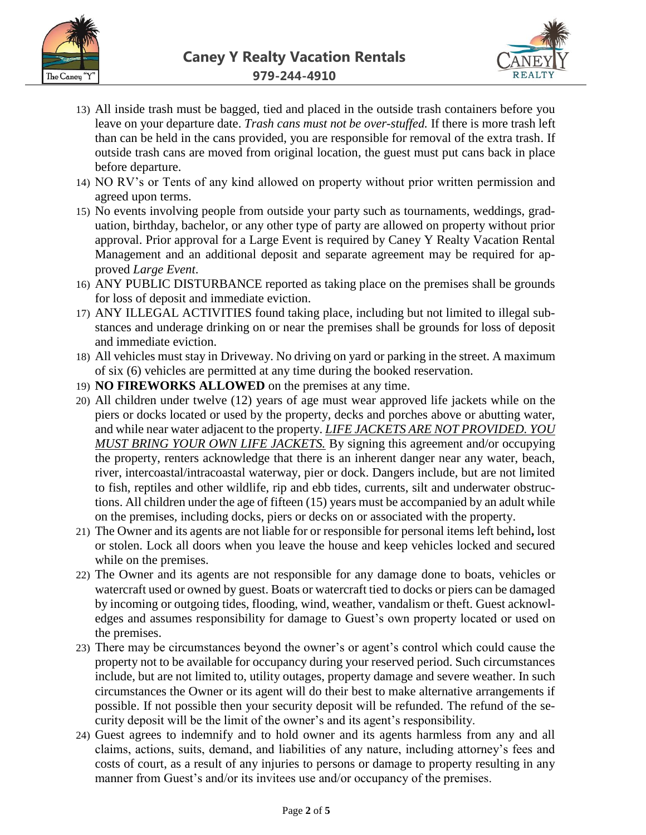



- 13) All inside trash must be bagged, tied and placed in the outside trash containers before you leave on your departure date. *Trash cans must not be over-stuffed.* If there is more trash left than can be held in the cans provided, you are responsible for removal of the extra trash. If outside trash cans are moved from original location, the guest must put cans back in place before departure.
- 14) NO RV's or Tents of any kind allowed on property without prior written permission and agreed upon terms.
- 15) No events involving people from outside your party such as tournaments, weddings, graduation, birthday, bachelor, or any other type of party are allowed on property without prior approval. Prior approval for a Large Event is required by Caney Y Realty Vacation Rental Management and an additional deposit and separate agreement may be required for approved *Large Event*.
- 16) ANY PUBLIC DISTURBANCE reported as taking place on the premises shall be grounds for loss of deposit and immediate eviction.
- 17) ANY ILLEGAL ACTIVITIES found taking place, including but not limited to illegal substances and underage drinking on or near the premises shall be grounds for loss of deposit and immediate eviction.
- 18) All vehicles must stay in Driveway. No driving on yard or parking in the street. A maximum of six (6) vehicles are permitted at any time during the booked reservation.
- 19) **NO FIREWORKS ALLOWED** on the premises at any time.
- 20) All children under twelve (12) years of age must wear approved life jackets while on the piers or docks located or used by the property, decks and porches above or abutting water, and while near water adjacent to the property. *LIFE JACKETS ARE NOT PROVIDED. YOU MUST BRING YOUR OWN LIFE JACKETS.* By signing this agreement and/or occupying the property, renters acknowledge that there is an inherent danger near any water, beach, river, intercoastal/intracoastal waterway, pier or dock. Dangers include, but are not limited to fish, reptiles and other wildlife, rip and ebb tides, currents, silt and underwater obstructions. All children under the age of fifteen (15) years must be accompanied by an adult while on the premises, including docks, piers or decks on or associated with the property.
- 21) The Owner and its agents are not liable for or responsible for personal items left behind**,** lost or stolen. Lock all doors when you leave the house and keep vehicles locked and secured while on the premises.
- 22) The Owner and its agents are not responsible for any damage done to boats, vehicles or watercraft used or owned by guest. Boats or watercraft tied to docks or piers can be damaged by incoming or outgoing tides, flooding, wind, weather, vandalism or theft. Guest acknowledges and assumes responsibility for damage to Guest's own property located or used on the premises.
- 23) There may be circumstances beyond the owner's or agent's control which could cause the property not to be available for occupancy during your reserved period. Such circumstances include, but are not limited to, utility outages, property damage and severe weather. In such circumstances the Owner or its agent will do their best to make alternative arrangements if possible. If not possible then your security deposit will be refunded. The refund of the security deposit will be the limit of the owner's and its agent's responsibility.
- 24) Guest agrees to indemnify and to hold owner and its agents harmless from any and all claims, actions, suits, demand, and liabilities of any nature, including attorney's fees and costs of court, as a result of any injuries to persons or damage to property resulting in any manner from Guest's and/or its invitees use and/or occupancy of the premises.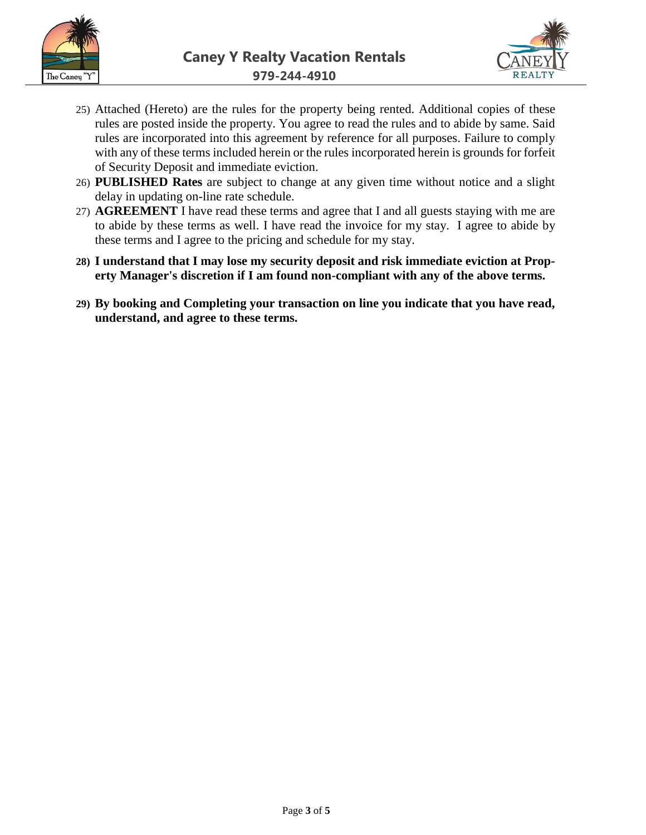



- 25) Attached (Hereto) are the rules for the property being rented. Additional copies of these rules are posted inside the property. You agree to read the rules and to abide by same. Said rules are incorporated into this agreement by reference for all purposes. Failure to comply with any of these terms included herein or the rules incorporated herein is grounds for forfeit of Security Deposit and immediate eviction.
- 26) **PUBLISHED Rates** are subject to change at any given time without notice and a slight delay in updating on-line rate schedule.
- 27) **AGREEMENT** I have read these terms and agree that I and all guests staying with me are to abide by these terms as well. I have read the invoice for my stay. I agree to abide by these terms and I agree to the pricing and schedule for my stay.
- **28) I understand that I may lose my security deposit and risk immediate eviction at Property Manager's discretion if I am found non-compliant with any of the above terms.**
- **29) By booking and Completing your transaction on line you indicate that you have read, understand, and agree to these terms.**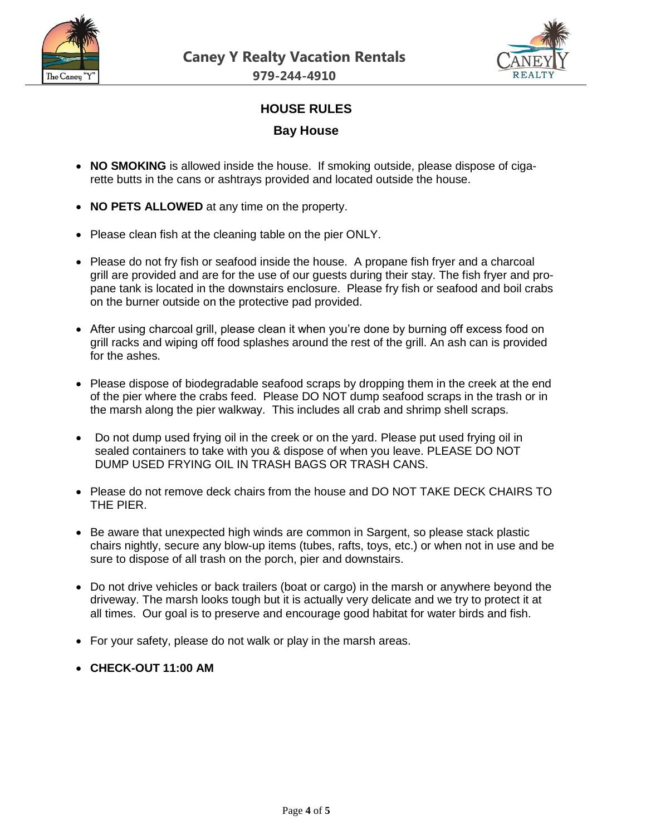



## **HOUSE RULES**

#### **Bay House**

- **NO SMOKING** is allowed inside the house. If smoking outside, please dispose of cigarette butts in the cans or ashtrays provided and located outside the house.
- **NO PETS ALLOWED** at any time on the property.
- Please clean fish at the cleaning table on the pier ONLY.
- Please do not fry fish or seafood inside the house. A propane fish fryer and a charcoal grill are provided and are for the use of our guests during their stay. The fish fryer and propane tank is located in the downstairs enclosure. Please fry fish or seafood and boil crabs on the burner outside on the protective pad provided.
- After using charcoal grill, please clean it when you're done by burning off excess food on grill racks and wiping off food splashes around the rest of the grill. An ash can is provided for the ashes.
- Please dispose of biodegradable seafood scraps by dropping them in the creek at the end of the pier where the crabs feed. Please DO NOT dump seafood scraps in the trash or in the marsh along the pier walkway. This includes all crab and shrimp shell scraps.
- Do not dump used frying oil in the creek or on the yard. Please put used frying oil in sealed containers to take with you & dispose of when you leave. PLEASE DO NOT DUMP USED FRYING OIL IN TRASH BAGS OR TRASH CANS.
- Please do not remove deck chairs from the house and DO NOT TAKE DECK CHAIRS TO THE PIER.
- Be aware that unexpected high winds are common in Sargent, so please stack plastic chairs nightly, secure any blow-up items (tubes, rafts, toys, etc.) or when not in use and be sure to dispose of all trash on the porch, pier and downstairs.
- Do not drive vehicles or back trailers (boat or cargo) in the marsh or anywhere beyond the driveway. The marsh looks tough but it is actually very delicate and we try to protect it at all times. Our goal is to preserve and encourage good habitat for water birds and fish.
- For your safety, please do not walk or play in the marsh areas.
- **CHECK-OUT 11:00 AM**